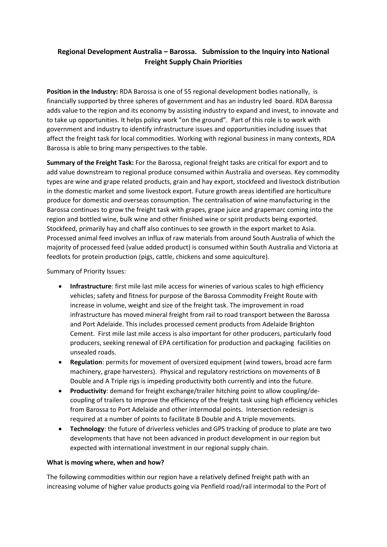# **Regional Development Australia – Barossa. Submission to the Inquiry into National Freight Supply Chain Priorities**

**Position in the Industry:** RDA Barossa is one of 55 regional development bodies nationally, is financially supported by three spheres of government and has an industry led board. RDA Barossa adds value to the region and its economy by assisting industry to expand and invest, to innovate and to take up opportunities. It helps policy work "on the ground". Part of this role is to work with government and industry to identify infrastructure issues and opportunities including issues that affect the freight task for local commodities. Working with regional business in many contexts, RDA Barossa is able to bring many perspectives to the table.

**Summary of the Freight Task:** For the Barossa, regional freight tasks are critical for export and to add value downstream to regional produce consumed within Australia and overseas. Key commodity types are wine and grape related products, grain and hay export, stockfeed and livestock distribution in the domestic market and some livestock export. Future growth areas identified are horticulture produce for domestic and overseas consumption. The centralisation of wine manufacturing in the Barossa continues to grow the freight task with grapes, grape juice and grapemarc coming into the region and bottled wine, bulk wine and other finished wine or spirit products being exported. Stockfeed, primarily hay and chaff also continues to see growth in the export market to Asia. Processed animal feed involves an influx of raw materials from around South Australia of which the majority of processed feed (value added product) is consumed within South Australia and Victoria at feedlots for protein production (pigs, cattle, chickens and some aquiculture).

# Summary of Priority Issues:

- **Infrastructure**: first mile last mile access for wineries of various scales to high efficiency vehicles; safety and fitness for purpose of the Barossa Commodity Freight Route with increase in volume, weight and size of the freight task. The improvement in road infrastructure has moved mineral freight from rail to road transport between the Barossa and Port Adelaide. This includes processed cement products from Adelaide Brighton Cement. First mile last mile access is also important for other producers, particularly food producers, seeking renewal of EPA certification for production and packaging facilities on unsealed roads.
- **Regulation**: permits for movement of oversized equipment (wind towers, broad acre farm machinery, grape harvesters). Physical and regulatory restrictions on movements of B Double and A Triple rigs is impeding productivity both currently and into the future.
- **Productivity**: demand for freight exchange/trailer hitching point to allow coupling/decoupling of trailers to improve the efficiency of the freight task using high efficiency vehicles from Barossa to Port Adelaide and other intermodal points. Intersection redesign is required at a number of points to facilitate B Double and A triple movements.
- **Technology**: the future of driverless vehicles and GPS tracking of produce to plate are two developments that have not been advanced in product development in our region but expected with international investment in our regional supply chain.

### **What is moving where, when and how?**

The following commodities within our region have a relatively defined freight path with an increasing volume of higher value products going via Penfield road/rail intermodal to the Port of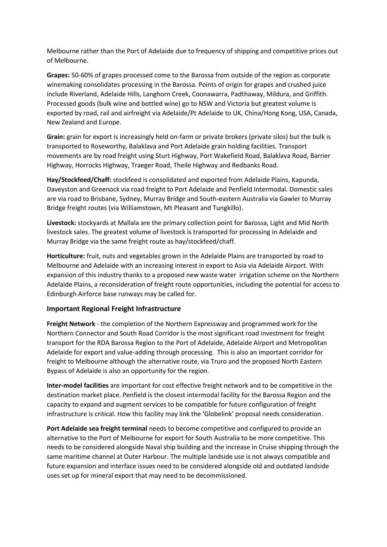Melbourne rather than the Port of Adelaide due to frequency of shipping and competitive prices out of Melbourne.

**Grapes:** 50-60% of grapes processed come to the Barossa from outside of the region as corporate winemaking consolidates processing in the Barossa. Points of origin for grapes and crushed juice include Riverland, Adelaide Hills, Langhorn Creek, Coonawarra, Padthaway, Mildura, and Griffith. Processed goods (bulk wine and bottled wine) go to NSW and Victoria but greatest volume is exported by road, rail and airfreight via Adelaide/Pt Adelaide to UK, China/Hong Kong, USA, Canada, New Zealand and Europe.

**Grain:** grain for export is increasingly held on-farm or private brokers (private silos) but the bulk is transported to Roseworthy, Balaklava and Port Adelaide grain holding facilities. Transport movements are by road freight using Sturt Highway, Port Wakefield Road, Balaklava Road, Barrier Highway, Horrocks Highway, Traeger Road, Theile Highway and Redbanks Road.

**Hay/Stockfeed/Chaff:** stockfeed is consolidated and exported from Adelaide Plains, Kapunda, Daveyston and Greenock via road freight to Port Adelaide and Penfield Intermodal. Domestic sales are via road to Brisbane, Sydney, Murray Bridge and South-eastern Australia via Gawler to Murray Bridge freight routes (via Williamstown, Mt Pleasant and Tungkillo).

**Livestock:** stockyards at Mallala are the primary collection point for Barossa, Light and Mid North livestock sales. The greatest volume of livestock is transported for processing in Adelaide and Murray Bridge via the same freight route as hay/stockfeed/chaff.

**Horticulture:** fruit, nuts and vegetables grown in the Adelaide Plains are transported by road to Melbourne and Adelaide with an increasing interest in export to Asia via Adelaide Airport. With expansion of this industry thanks to a proposed new waste water irrigation scheme on the Northern Adelaide Plains, a reconsideration of freight route opportunities, including the potential for access to Edinburgh Airforce base runways may be called for.

# **Important Regional Freight Infrastructure**

**Freight Network** - the completion of the Northern Expressway and programmed work for the Northern Connector and South Road Corridor is the most significant road investment for freight transport for the RDA Barossa Region to the Port of Adelaide, Adelaide Airport and Metropolitan Adelaide for export and value-adding through processing. This is also an important corridor for freight to Melbourne although the alternative route, via Truro and the proposed North Eastern Bypass of Adelaide is also an opportunity for the region.

**Inter-model facilities** are important for cost effective freight network and to be competitive in the destination market place. Penfield is the closest intermodal facility for the Barossa Region and the capacity to expand and augment services to be compatible for future configuration of freight infrastructure is critical. How this facility may link the 'Globelink' proposal needs consideration.

**Port Adelaide sea freight terminal** needs to become competitive and configured to provide an alternative to the Port of Melbourne for export for South Australia to be more competitive. This needs to be considered alongside Naval ship building and the increase in Cruise shipping through the same maritime channel at Outer Harbour. The multiple landside use is not always compatible and future expansion and interface issues need to be considered alongside old and outdated landside uses set up for mineral export that may need to be decommissioned.